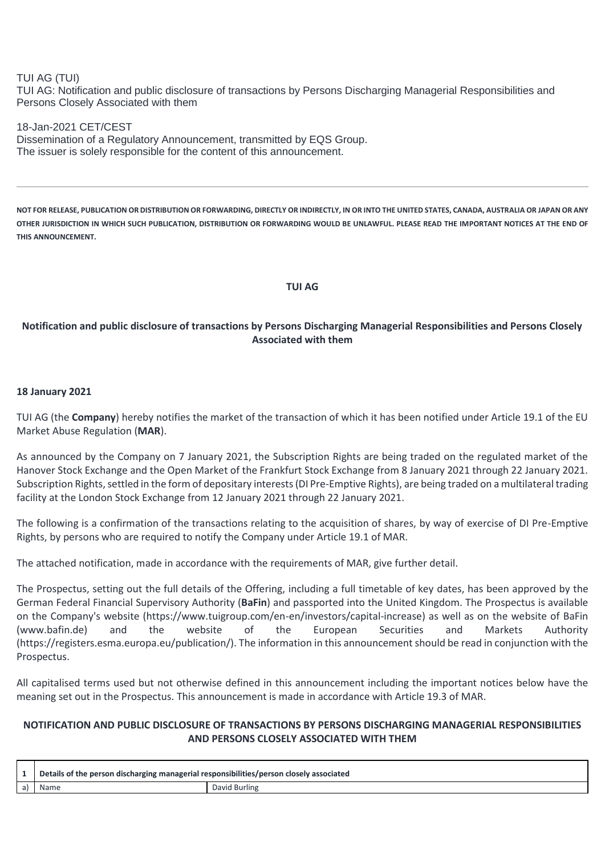## TUI AG (TUI)

TUI AG: Notification and public disclosure of transactions by Persons Discharging Managerial Responsibilities and Persons Closely Associated with them

18-Jan-2021 CET/CEST Dissemination of a Regulatory Announcement, transmitted by EQS Group. The issuer is solely responsible for the content of this announcement.

**NOT FOR RELEASE, PUBLICATION OR DISTRIBUTION OR FORWARDING, DIRECTLY OR INDIRECTLY, IN OR INTO THE UNITED STATES, CANADA, AUSTRALIA OR JAPAN OR ANY OTHER JURISDICTION IN WHICH SUCH PUBLICATION, DISTRIBUTION OR FORWARDING WOULD BE UNLAWFUL. PLEASE READ THE IMPORTANT NOTICES AT THE END OF THIS ANNOUNCEMENT.**

#### **TUI AG**

# **Notification and public disclosure of transactions by Persons Discharging Managerial Responsibilities and Persons Closely Associated with them**

### **18 January 2021**

TUI AG (the **Company**) hereby notifies the market of the transaction of which it has been notified under Article 19.1 of the EU Market Abuse Regulation (**MAR**).

As announced by the Company on 7 January 2021, the Subscription Rights are being traded on the regulated market of the Hanover Stock Exchange and the Open Market of the Frankfurt Stock Exchange from 8 January 2021 through 22 January 2021. Subscription Rights, settled in the form of depositary interests (DI Pre-Emptive Rights), are being traded on a multilateral trading facility at the London Stock Exchange from 12 January 2021 through 22 January 2021.

The following is a confirmation of the transactions relating to the acquisition of shares, by way of exercise of DI Pre-Emptive Rights, by persons who are required to notify the Company under Article 19.1 of MAR.

The attached notification, made in accordance with the requirements of MAR, give further detail.

The Prospectus, setting out the full details of the Offering, including a full timetable of key dates, has been approved by the German Federal Financial Supervisory Authority (**BaFin**) and passported into the United Kingdom. The Prospectus is available on the Company's website (https://www.tuigroup.com/en-en/investors/capital-increase) as well as on the website of BaFin (www.bafin.de) and the website of the European Securities and Markets Authority (https://registers.esma.europa.eu/publication/). The information in this announcement should be read in conjunction with the Prospectus.

All capitalised terms used but not otherwise defined in this announcement including the important notices below have the meaning set out in the Prospectus. This announcement is made in accordance with Article 19.3 of MAR.

## **NOTIFICATION AND PUBLIC DISCLOSURE OF TRANSACTIONS BY PERSONS DISCHARGING MANAGERIAL RESPONSIBILITIES AND PERSONS CLOSELY ASSOCIATED WITH THEM**

|    | Details of the person discharging managerial responsibilities/person closely associated |               |
|----|-----------------------------------------------------------------------------------------|---------------|
| a) |                                                                                         | David Burling |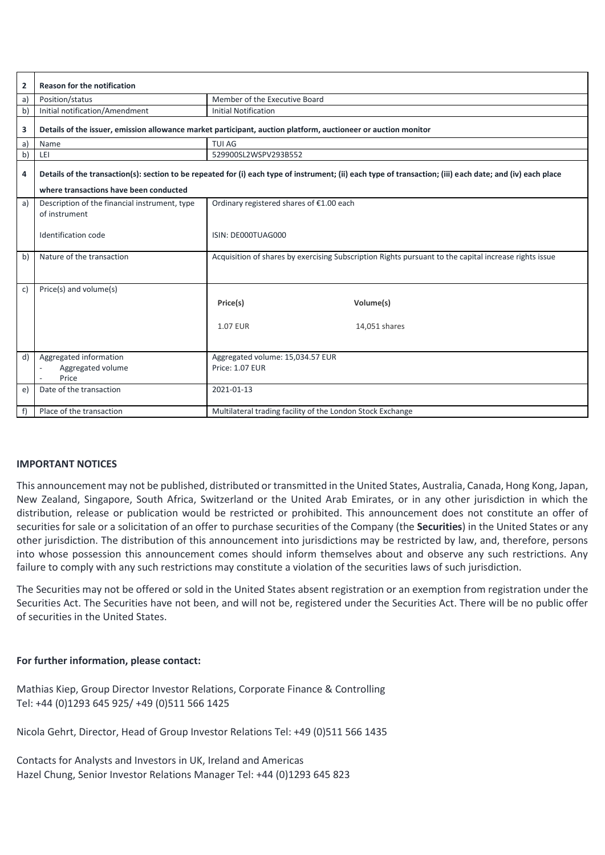| $\overline{2}$ | <b>Reason for the notification</b>                                                                                                                                                                   |                                                                                                       |  |
|----------------|------------------------------------------------------------------------------------------------------------------------------------------------------------------------------------------------------|-------------------------------------------------------------------------------------------------------|--|
| a)             | Position/status                                                                                                                                                                                      | Member of the Executive Board                                                                         |  |
| b)             | Initial notification/Amendment                                                                                                                                                                       | <b>Initial Notification</b>                                                                           |  |
| 3              | Details of the issuer, emission allowance market participant, auction platform, auctioneer or auction monitor                                                                                        |                                                                                                       |  |
| a)             | Name                                                                                                                                                                                                 | <b>TUI AG</b>                                                                                         |  |
| b)             | LEI                                                                                                                                                                                                  | 529900SL2WSPV293B552                                                                                  |  |
| 4              | Details of the transaction(s): section to be repeated for (i) each type of instrument; (ii) each type of transaction; (iii) each date; and (iv) each place<br>where transactions have been conducted |                                                                                                       |  |
|                |                                                                                                                                                                                                      |                                                                                                       |  |
| a)             | Description of the financial instrument, type<br>of instrument                                                                                                                                       | Ordinary registered shares of €1.00 each                                                              |  |
|                | Identification code                                                                                                                                                                                  | ISIN: DE000TUAG000                                                                                    |  |
| b)             | Nature of the transaction                                                                                                                                                                            | Acquisition of shares by exercising Subscription Rights pursuant to the capital increase rights issue |  |
| $\mathsf{C}$   | Price(s) and volume(s)                                                                                                                                                                               |                                                                                                       |  |
|                |                                                                                                                                                                                                      | Volume(s)<br>Price(s)                                                                                 |  |
|                |                                                                                                                                                                                                      |                                                                                                       |  |
|                |                                                                                                                                                                                                      | <b>1.07 EUR</b><br>14,051 shares                                                                      |  |
|                |                                                                                                                                                                                                      |                                                                                                       |  |
| d)             | Aggregated information                                                                                                                                                                               | Aggregated volume: 15,034.57 EUR                                                                      |  |
|                | Aggregated volume<br>Price                                                                                                                                                                           | <b>Price: 1.07 EUR</b>                                                                                |  |
| e)             | Date of the transaction                                                                                                                                                                              | 2021-01-13                                                                                            |  |
| f)             | Place of the transaction                                                                                                                                                                             | Multilateral trading facility of the London Stock Exchange                                            |  |

### **IMPORTANT NOTICES**

This announcement may not be published, distributed or transmitted in the United States, Australia, Canada, Hong Kong, Japan, New Zealand, Singapore, South Africa, Switzerland or the United Arab Emirates, or in any other jurisdiction in which the distribution, release or publication would be restricted or prohibited. This announcement does not constitute an offer of securities for sale or a solicitation of an offer to purchase securities of the Company (the **Securities**) in the United States or any other jurisdiction. The distribution of this announcement into jurisdictions may be restricted by law, and, therefore, persons into whose possession this announcement comes should inform themselves about and observe any such restrictions. Any failure to comply with any such restrictions may constitute a violation of the securities laws of such jurisdiction.

The Securities may not be offered or sold in the United States absent registration or an exemption from registration under the Securities Act. The Securities have not been, and will not be, registered under the Securities Act. There will be no public offer of securities in the United States.

### **For further information, please contact:**

Mathias Kiep, Group Director Investor Relations, Corporate Finance & Controlling Tel: +44 (0)1293 645 925/ +49 (0)511 566 1425

Nicola Gehrt, Director, Head of Group Investor Relations Tel: +49 (0)511 566 1435

Contacts for Analysts and Investors in UK, Ireland and Americas Hazel Chung, Senior Investor Relations Manager Tel: +44 (0)1293 645 823